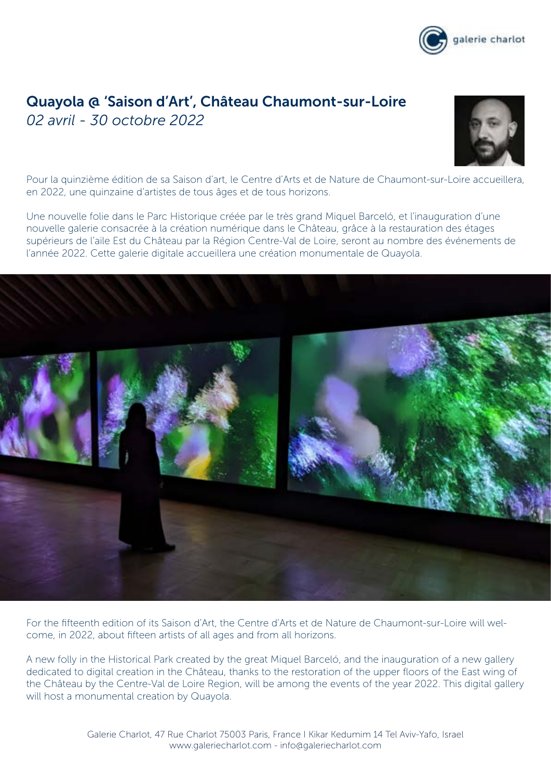

# Quayola @ 'Saison d'Art', Château Chaumont-sur-Loire *02 avril - 30 octobre 2022*



Pour la quinzième édition de sa Saison d'art, le Centre d'Arts et de Nature de Chaumont-sur-Loire accueillera, en 2022, une quinzaine d'artistes de tous âges et de tous horizons.

Une nouvelle folie dans le Parc Historique créée par le très grand Miquel Barceló, et l'inauguration d'une nouvelle galerie consacrée à la création numérique dans le Château, grâce à la restauration des étages supérieurs de l'aile Est du Château par la Région Centre-Val de Loire, seront au nombre des événements de l'année 2022. Cette galerie digitale accueillera une création monumentale de Quayola.



For the fifteenth edition of its Saison d'Art, the Centre d'Arts et de Nature de Chaumont-sur-Loire will welcome, in 2022, about fifteen artists of all ages and from all horizons.

A new folly in the Historical Park created by the great Miquel Barceló, and the inauguration of a new gallery dedicated to digital creation in the Château, thanks to the restoration of the upper floors of the East wing of the Château by the Centre-Val de Loire Region, will be among the events of the year 2022. This digital gallery will host a monumental creation by Quayola.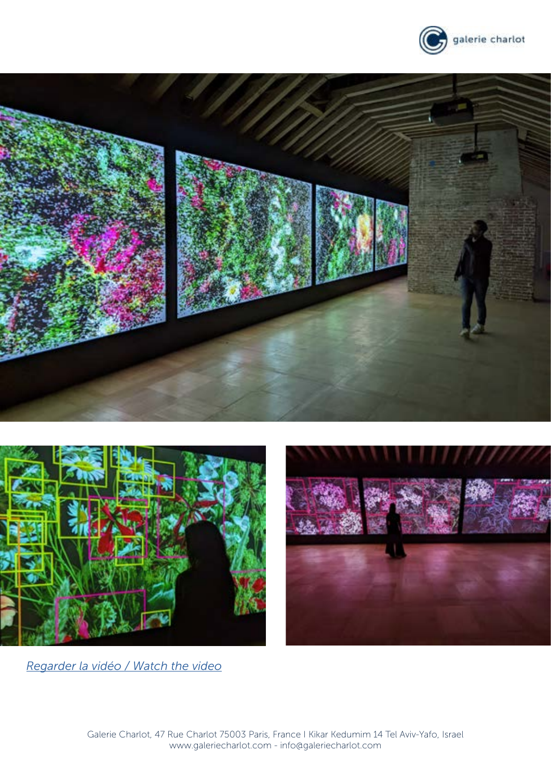







*[Regarder la vidéo / Watch the video](https://vimeo.com/709850625)*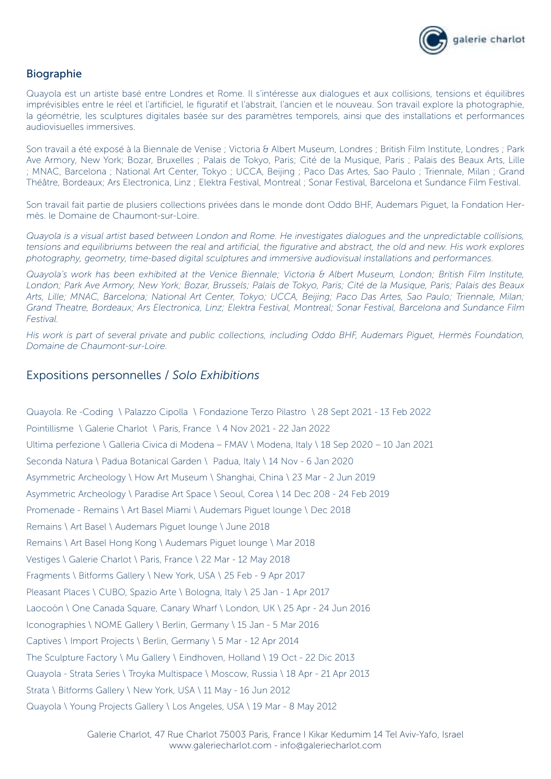

#### Biographie

Quayola est un artiste basé entre Londres et Rome. Il s'intéresse aux dialogues et aux collisions, tensions et équilibres imprévisibles entre le réel et l'artificiel, le figuratif et l'abstrait, l'ancien et le nouveau. Son travail explore la photographie, la géométrie, les sculptures digitales basée sur des paramètres temporels, ainsi que des installations et performances audiovisuelles immersives.

Son travail a été exposé à la Biennale de Venise ; Victoria & Albert Museum, Londres ; British Film Institute, Londres ; Park Ave Armory, New York; Bozar, Bruxelles ; Palais de Tokyo, Paris; Cité de la Musique, Paris ; Palais des Beaux Arts, Lille ; MNAC, Barcelona ; National Art Center, Tokyo ; UCCA, Beijing ; Paco Das Artes, Sao Paulo ; Triennale, Milan ; Grand Théâtre, Bordeaux; Ars Electronica, Linz ; Elektra Festival, Montreal ; Sonar Festival, Barcelona et Sundance Film Festival.

Son travail fait partie de plusiers collections privées dans le monde dont Oddo BHF, Audemars Piguet, la Fondation Hermès. le Domaine de Chaumont-sur-Loire.

*Quayola is a visual artist based between London and Rome. He investigates dialogues and the unpredictable collisions, tensions and equilibriums between the real and artificial, the figurative and abstract, the old and new. His work explores photography, geometry, time-based digital sculptures and immersive audiovisual installations and performances.*

*Quayola's work has been exhibited at the Venice Biennale; Victoria & Albert Museum, London; British Film Institute, London; Park Ave Armory, New York; Bozar, Brussels; Palais de Tokyo, Paris; Cité de la Musique, Paris; Palais des Beaux Arts, Lille; MNAC, Barcelona; National Art Center, Tokyo; UCCA, Beijing; Paco Das Artes, Sao Paulo; Triennale, Milan; Grand Theatre, Bordeaux; Ars Electronica, Linz; Elektra Festival, Montreal; Sonar Festival, Barcelona and Sundance Film Festival.*

*His work is part of several private and public collections, including Oddo BHF, Audemars Piguet, Hermès Foundation, Domaine de Chaumont-sur-Loire.*

#### Expositions personnelles / *Solo Exhibitions*

Quayola. Re -Coding \ Palazzo Cipolla \ Fondazione Terzo Pilastro \ 28 Sept 2021 - 13 Feb 2022 Pointillisme \ Galerie Charlot \ Paris, France \ 4 Nov 2021 - 22 Jan 2022 Ultima perfezione \ Galleria Civica di Modena – FMAV \ Modena, Italy \ 18 Sep 2020 – 10 Jan 2021 Seconda Natura \ Padua Botanical Garden \ Padua, Italy \ 14 Nov - 6 Jan 2020 Asymmetric Archeology \ How Art Museum \ Shanghai, China \ 23 Mar - 2 Jun 2019 Asymmetric Archeology \ Paradise Art Space \ Seoul, Corea \ 14 Dec 208 - 24 Feb 2019 Promenade - Remains \ Art Basel Miami \ Audemars Piguet lounge \ Dec 2018 Remains \ Art Basel \ Audemars Piguet lounge \ June 2018 Remains \ Art Basel Hong Kong \ Audemars Piguet lounge \ Mar 2018 Vestiges \ Galerie Charlot \ Paris, France \ 22 Mar - 12 May 2018 Fragments \ Bitforms Gallery \ New York, USA \ 25 Feb - 9 Apr 2017 Pleasant Places \ CUBO, Spazio Arte \ Bologna, Italy \ 25 Jan - 1 Apr 2017 Laocoön \ One Canada Square, Canary Wharf \ London, UK \ 25 Apr - 24 Jun 2016 Iconographies \ NOME Gallery \ Berlin, Germany \ 15 Jan - 5 Mar 2016 Captives \ Import Projects \ Berlin, Germany \ 5 Mar - 12 Apr 2014 The Sculpture Factory \ Mu Gallery \ Eindhoven, Holland \ 19 Oct - 22 Dic 2013 Quayola - Strata Series \ Troyka Multispace \ Moscow, Russia \ 18 Apr - 21 Apr 2013 Strata \ Bitforms Gallery \ New York, USA \ 11 May - 16 Jun 2012 Quayola \ Young Projects Gallery \ Los Angeles, USA \ 19 Mar - 8 May 2012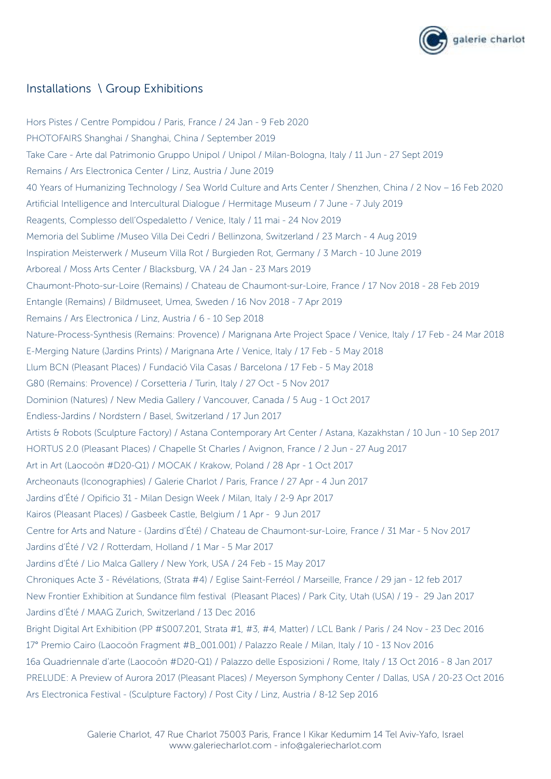

## Installations \ Group Exhibitions

Hors Pistes / Centre Pompidou / Paris, France / 24 Jan - 9 Feb 2020 PHOTOFAIRS Shanghai / Shanghai, China / September 2019 Take Care - Arte dal Patrimonio Gruppo Unipol / Unipol / Milan-Bologna, Italy / 11 Jun - 27 Sept 2019 Remains / Ars Electronica Center / Linz, Austria / June 2019 40 Years of Humanizing Technology / Sea World Culture and Arts Center / Shenzhen, China / 2 Nov – 16 Feb 2020 Artificial Intelligence and Intercultural Dialogue / Hermitage Museum / 7 June - 7 July 2019 Reagents, Complesso dell'Ospedaletto / Venice, Italy / 11 mai - 24 Nov 2019 Memoria del Sublime /Museo Villa Dei Cedri / Bellinzona, Switzerland / 23 March - 4 Aug 2019 Inspiration Meisterwerk / Museum Villa Rot / Burgieden Rot, Germany / 3 March - 10 June 2019 Arboreal / Moss Arts Center / Blacksburg, VA / 24 Jan - 23 Mars 2019 Chaumont-Photo-sur-Loire (Remains) / Chateau de Chaumont-sur-Loire, France / 17 Nov 2018 - 28 Feb 2019 Entangle (Remains) / Bildmuseet, Umea, Sweden / 16 Nov 2018 - 7 Apr 2019 Remains / Ars Electronica / Linz, Austria / 6 - 10 Sep 2018 Nature-Process-Synthesis (Remains: Provence) / Marignana Arte Project Space / Venice, Italy / 17 Feb - 24 Mar 2018 E-Merging Nature (Jardins Prints) / Marignana Arte / Venice, Italy / 17 Feb - 5 May 2018 Llum BCN (Pleasant Places) / Fundació Vila Casas / Barcelona / 17 Feb - 5 May 2018 G80 (Remains: Provence) / Corsetteria / Turin, Italy / 27 Oct - 5 Nov 2017 Dominion (Natures) / New Media Gallery / Vancouver, Canada / 5 Aug - 1 Oct 2017 Endless-Jardins / Nordstern / Basel, Switzerland / 17 Jun 2017 Artists & Robots (Sculpture Factory) / Astana Contemporary Art Center / Astana, Kazakhstan / 10 Jun - 10 Sep 2017 HORTUS 2.0 (Pleasant Places) / Chapelle St Charles / Avignon, France / 2 Jun - 27 Aug 2017 Art in Art (Laocoön #D20-Q1) / MOCAK / Krakow, Poland / 28 Apr - 1 Oct 2017 Archeonauts (Iconographies) / Galerie Charlot / Paris, France / 27 Apr - 4 Jun 2017 Jardins d'Été / Opificio 31 - Milan Design Week / Milan, Italy / 2-9 Apr 2017 Kairos (Pleasant Places) / Gasbeek Castle, Belgium / 1 Apr - 9 Jun 2017 Centre for Arts and Nature - (Jardins d'Été) / Chateau de Chaumont-sur-Loire, France / 31 Mar - 5 Nov 2017 Jardins d'Été / V2 / Rotterdam, Holland / 1 Mar - 5 Mar 2017 Jardins d'Été / Lio Malca Gallery / New York, USA / 24 Feb - 15 May 2017 Chroniques Acte 3 - Révélations, (Strata #4) / Eglise Saint-Ferréol / Marseille, France / 29 jan - 12 feb 2017 New Frontier Exhibition at Sundance film festival (Pleasant Places) / Park City, Utah (USA) / 19 - 29 Jan 2017 Jardins d'Été / MAAG Zurich, Switzerland / 13 Dec 2016 Bright Digital Art Exhibition (PP #S007.201, Strata #1, #3, #4, Matter) / LCL Bank / Paris / 24 Nov - 23 Dec 2016 17° Premio Cairo (Laocoön Fragment #B\_001.001) / Palazzo Reale / Milan, Italy / 10 - 13 Nov 2016 16a Quadriennale d'arte (Laocoön #D20-Q1) / Palazzo delle Esposizioni / Rome, Italy / 13 Oct 2016 - 8 Jan 2017 PRELUDE: A Preview of Aurora 2017 (Pleasant Places) / Meyerson Symphony Center / Dallas, USA / 20-23 Oct 2016 Ars Electronica Festival - (Sculpture Factory) / Post City / Linz, Austria / 8-12 Sep 2016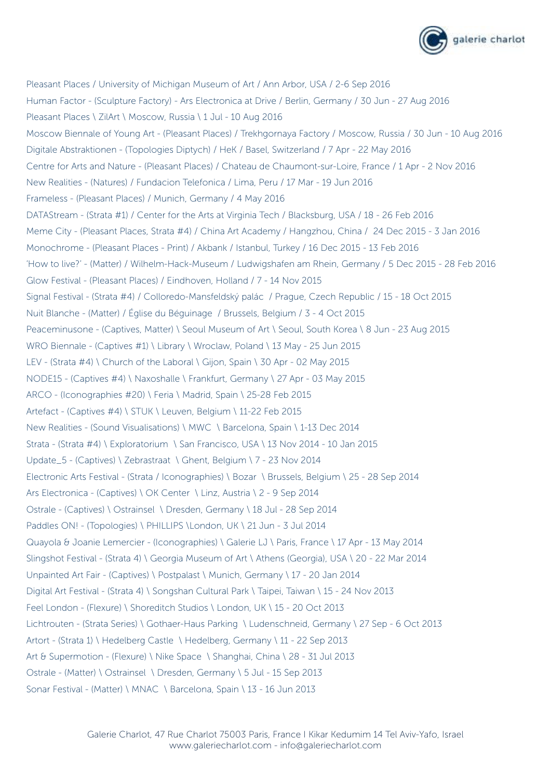

Pleasant Places / University of Michigan Museum of Art / Ann Arbor, USA / 2-6 Sep 2016 Human Factor - (Sculpture Factory) - Ars Electronica at Drive / Berlin, Germany / 30 Jun - 27 Aug 2016 Pleasant Places \ ZilArt \ Moscow, Russia \ 1 Jul - 10 Aug 2016 Moscow Biennale of Young Art - (Pleasant Places) / Trekhgornaya Factory / Moscow, Russia / 30 Jun - 10 Aug 2016 Digitale Abstraktionen - (Topologies Diptych) / HeK / Basel, Switzerland / 7 Apr - 22 May 2016 Centre for Arts and Nature - (Pleasant Places) / Chateau de Chaumont-sur-Loire, France / 1 Apr - 2 Nov 2016 New Realities - (Natures) / Fundacion Telefonica / Lima, Peru / 17 Mar - 19 Jun 2016 Frameless - (Pleasant Places) / Munich, Germany / 4 May 2016 DATAStream - (Strata #1) / Center for the Arts at Virginia Tech / Blacksburg, USA / 18 - 26 Feb 2016 Meme City - (Pleasant Places, Strata #4) / China Art Academy / Hangzhou, China / 24 Dec 2015 - 3 Jan 2016 Monochrome - (Pleasant Places - Print) / Akbank / Istanbul, Turkey / 16 Dec 2015 - 13 Feb 2016 'How to live?' - (Matter) / Wilhelm-Hack-Museum / Ludwigshafen am Rhein, Germany / 5 Dec 2015 - 28 Feb 2016 Glow Festival - (Pleasant Places) / Eindhoven, Holland / 7 - 14 Nov 2015 Signal Festival - (Strata #4) / Colloredo-Mansfeldský palác / Prague, Czech Republic / 15 - 18 Oct 2015 Nuit Blanche - (Matter) / Église du Béguinage / Brussels, Belgium / 3 - 4 Oct 2015 Peaceminusone - (Captives, Matter) \ Seoul Museum of Art \ Seoul, South Korea \ 8 Jun - 23 Aug 2015 WRO Biennale - (Captives #1) \ Library \ Wroclaw, Poland \ 13 May - 25 Jun 2015 LEV - (Strata #4) \ Church of the Laboral \ Gijon, Spain \ 30 Apr - 02 May 2015 NODE15 - (Captives #4) \ Naxoshalle \ Frankfurt, Germany \ 27 Apr - 03 May 2015 ARCO - (Iconographies #20) \ Feria \ Madrid, Spain \ 25-28 Feb 2015 Artefact - (Captives #4) \ STUK \ Leuven, Belgium \ 11-22 Feb 2015 New Realities - (Sound Visualisations) \ MWC \ Barcelona, Spain \ 1-13 Dec 2014 Strata - (Strata #4) \ Exploratorium \ San Francisco, USA \ 13 Nov 2014 - 10 Jan 2015 Update\_5 - (Captives) \ Zebrastraat \ Ghent, Belgium \ 7 - 23 Nov 2014 Electronic Arts Festival - (Strata / Iconographies) \ Bozar \ Brussels, Belgium \ 25 - 28 Sep 2014 Ars Electronica - (Captives) \ OK Center \ Linz, Austria \ 2 - 9 Sep 2014 Ostrale - (Captives) \ Ostrainsel \ Dresden, Germany \ 18 Jul - 28 Sep 2014 Paddles ON! - (Topologies) \ PHILLIPS \London, UK \ 21 Jun - 3 Jul 2014 Quayola & Joanie Lemercier - (Iconographies) \ Galerie LJ \ Paris, France \ 17 Apr - 13 May 2014 Slingshot Festival - (Strata 4) \ Georgia Museum of Art \ Athens (Georgia), USA \ 20 - 22 Mar 2014 Unpainted Art Fair - (Captives) \ Postpalast \ Munich, Germany \ 17 - 20 Jan 2014 Digital Art Festival - (Strata 4) \ Songshan Cultural Park \ Taipei, Taiwan \ 15 - 24 Nov 2013 Feel London - (Flexure) \ Shoreditch Studios \ London, UK \ 15 - 20 Oct 2013 Lichtrouten - (Strata Series) \ Gothaer-Haus Parking \ Ludenschneid, Germany \ 27 Sep - 6 Oct 2013 Artort - (Strata 1) \ Hedelberg Castle \ Hedelberg, Germany \ 11 - 22 Sep 2013 Art & Supermotion - (Flexure) \ Nike Space \ Shanghai, China \ 28 - 31 Jul 2013 Ostrale - (Matter) \ Ostrainsel \ Dresden, Germany \ 5 Jul - 15 Sep 2013 Sonar Festival - (Matter) \ MNAC \ Barcelona, Spain \ 13 - 16 Jun 2013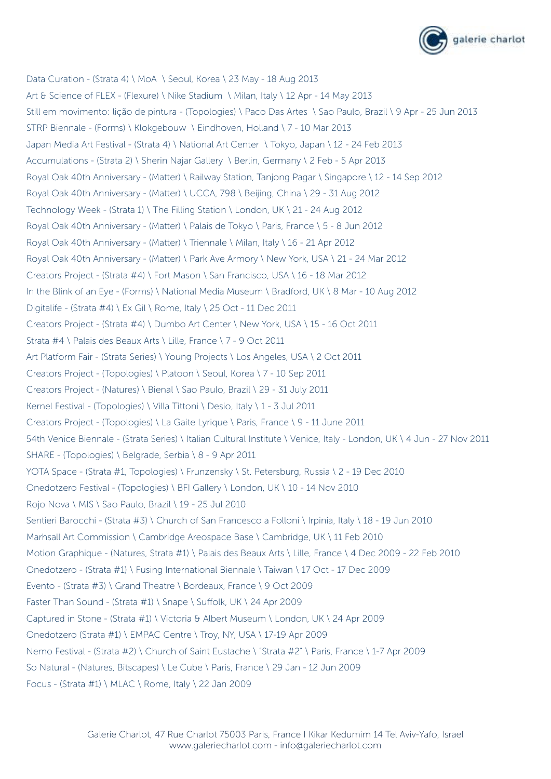

Data Curation - (Strata 4) \ MoA \ Seoul, Korea \ 23 May - 18 Aug 2013 Art & Science of FLEX - (Flexure) \ Nike Stadium \ Milan, Italy \ 12 Apr - 14 May 2013 Still em movimento: lição de pintura - (Topologies) \ Paco Das Artes \ Sao Paulo, Brazil \ 9 Apr - 25 Jun 2013 STRP Biennale - (Forms) \ Klokgebouw \ Eindhoven, Holland \ 7 - 10 Mar 2013 Japan Media Art Festival - (Strata 4) \ National Art Center \ Tokyo, Japan \ 12 - 24 Feb 2013 Accumulations - (Strata 2) \ Sherin Najar Gallery \ Berlin, Germany \ 2 Feb - 5 Apr 2013 Royal Oak 40th Anniversary - (Matter) \ Railway Station, Tanjong Pagar \ Singapore \ 12 - 14 Sep 2012 Royal Oak 40th Anniversary - (Matter) \ UCCA, 798 \ Beijing, China \ 29 - 31 Aug 2012 Technology Week - (Strata 1) \ The Filling Station \ London, UK \ 21 - 24 Aug 2012 Royal Oak 40th Anniversary - (Matter) \ Palais de Tokyo \ Paris, France \ 5 - 8 Jun 2012 Royal Oak 40th Anniversary - (Matter) \ Triennale \ Milan, Italy \ 16 - 21 Apr 2012 Royal Oak 40th Anniversary - (Matter) \ Park Ave Armory \ New York, USA \ 21 - 24 Mar 2012 Creators Project - (Strata #4) \ Fort Mason \ San Francisco, USA \ 16 - 18 Mar 2012 In the Blink of an Eye - (Forms) \ National Media Museum \ Bradford, UK \ 8 Mar - 10 Aug 2012 Digitalife - (Strata #4) \ Ex Gil \ Rome, Italy \ 25 Oct - 11 Dec 2011 Creators Project - (Strata #4) \ Dumbo Art Center \ New York, USA \ 15 - 16 Oct 2011 Strata #4 \ Palais des Beaux Arts \ Lille, France \ 7 - 9 Oct 2011 Art Platform Fair - (Strata Series) \ Young Projects \ Los Angeles, USA \ 2 Oct 2011 Creators Project - (Topologies) \ Platoon \ Seoul, Korea \ 7 - 10 Sep 2011 Creators Project - (Natures) \ Bienal \ Sao Paulo, Brazil \ 29 - 31 July 2011 Kernel Festival - (Topologies) \ Villa Tittoni \ Desio, Italy \ 1 - 3 Jul 2011 Creators Project - (Topologies) \ La Gaite Lyrique \ Paris, France \ 9 - 11 June 2011 54th Venice Biennale - (Strata Series) \ Italian Cultural Institute \ Venice, Italy - London, UK \ 4 Jun - 27 Nov 2011 SHARE - (Topologies) \ Belgrade, Serbia \ 8 - 9 Apr 2011 YOTA Space - (Strata #1, Topologies) \ Frunzensky \ St. Petersburg, Russia \ 2 - 19 Dec 2010 Onedotzero Festival - (Topologies) \ BFI Gallery \ London, UK \ 10 - 14 Nov 2010 Rojo Nova \ MIS \ Sao Paulo, Brazil \ 19 - 25 Jul 2010 Sentieri Barocchi - (Strata #3) \ Church of San Francesco a Folloni \ Irpinia, Italy \ 18 - 19 Jun 2010 Marhsall Art Commission \ Cambridge Areospace Base \ Cambridge, UK \ 11 Feb 2010 Motion Graphique - (Natures, Strata #1) \ Palais des Beaux Arts \ Lille, France \ 4 Dec 2009 - 22 Feb 2010 Onedotzero - (Strata #1) \ Fusing International Biennale \ Taiwan \ 17 Oct - 17 Dec 2009 Evento - (Strata #3) \ Grand Theatre \ Bordeaux, France \ 9 Oct 2009 Faster Than Sound - (Strata #1) \ Snape \ Suffolk, UK \ 24 Apr 2009 Captured in Stone - (Strata #1) \ Victoria & Albert Museum \ London, UK \ 24 Apr 2009 Onedotzero (Strata #1) \ EMPAC Centre \ Troy, NY, USA \ 17-19 Apr 2009 Nemo Festival - (Strata #2) \ Church of Saint Eustache \ "Strata #2" \ Paris, France \ 1-7 Apr 2009 So Natural - (Natures, Bitscapes) \ Le Cube \ Paris, France \ 29 Jan - 12 Jun 2009 Focus - (Strata #1) \ MLAC \ Rome, Italy \ 22 Jan 2009